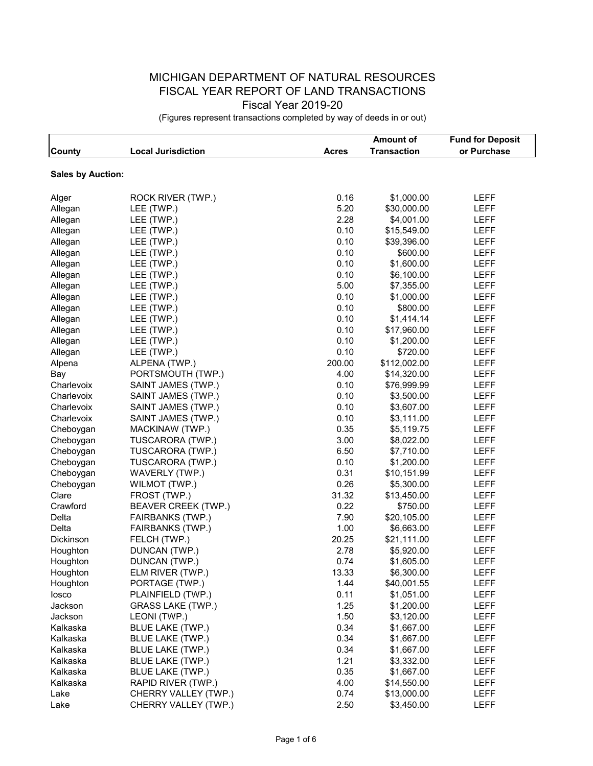## MICHIGAN DEPARTMENT OF NATURAL RESOURCES FISCAL YEAR REPORT OF LAND TRANSACTIONS Fiscal Year 2019-20

(Figures represent transactions completed by way of deeds in or out)

|                          |                            |              | <b>Amount of</b>   | <b>Fund for Deposit</b> |
|--------------------------|----------------------------|--------------|--------------------|-------------------------|
| County                   | <b>Local Jurisdiction</b>  | <b>Acres</b> | <b>Transaction</b> | or Purchase             |
|                          |                            |              |                    |                         |
| <b>Sales by Auction:</b> |                            |              |                    |                         |
| Alger                    | ROCK RIVER (TWP.)          | 0.16         | \$1,000.00         | <b>LEFF</b>             |
| Allegan                  | LEE (TWP.)                 | 5.20         | \$30,000.00        | <b>LEFF</b>             |
| Allegan                  | LEE (TWP.)                 | 2.28         | \$4,001.00         | <b>LEFF</b>             |
| Allegan                  | LEE (TWP.)                 | 0.10         | \$15,549.00        | <b>LEFF</b>             |
| Allegan                  | LEE (TWP.)                 | 0.10         | \$39,396.00        | <b>LEFF</b>             |
| Allegan                  | LEE (TWP.)                 | 0.10         | \$600.00           | <b>LEFF</b>             |
| Allegan                  | LEE (TWP.)                 | 0.10         | \$1,600.00         | <b>LEFF</b>             |
| Allegan                  | LEE (TWP.)                 | 0.10         | \$6,100.00         | <b>LEFF</b>             |
| Allegan                  | LEE (TWP.)                 | 5.00         | \$7,355.00         | <b>LEFF</b>             |
| Allegan                  | LEE (TWP.)                 | 0.10         | \$1,000.00         | <b>LEFF</b>             |
| Allegan                  | LEE (TWP.)                 | 0.10         | \$800.00           | <b>LEFF</b>             |
| Allegan                  | LEE (TWP.)                 | 0.10         | \$1,414.14         | <b>LEFF</b>             |
| Allegan                  | LEE (TWP.)                 | 0.10         | \$17,960.00        | <b>LEFF</b>             |
| Allegan                  | LEE (TWP.)                 | 0.10         | \$1,200.00         | <b>LEFF</b>             |
| Allegan                  | LEE (TWP.)                 | 0.10         | \$720.00           | <b>LEFF</b>             |
| Alpena                   | ALPENA (TWP.)              | 200.00       | \$112,002.00       | LEFF                    |
| Bay                      | PORTSMOUTH (TWP.)          | 4.00         | \$14,320.00        | <b>LEFF</b>             |
| Charlevoix               | SAINT JAMES (TWP.)         | 0.10         | \$76,999.99        | <b>LEFF</b>             |
| Charlevoix               | SAINT JAMES (TWP.)         | 0.10         | \$3,500.00         | <b>LEFF</b>             |
| Charlevoix               | SAINT JAMES (TWP.)         | 0.10         | \$3,607.00         | <b>LEFF</b>             |
| Charlevoix               | SAINT JAMES (TWP.)         | 0.10         | \$3,111.00         | <b>LEFF</b>             |
| Cheboygan                | MACKINAW (TWP.)            | 0.35         | \$5,119.75         | <b>LEFF</b>             |
| Cheboygan                | TUSCARORA (TWP.)           | 3.00         | \$8,022.00         | <b>LEFF</b>             |
| Cheboygan                | TUSCARORA (TWP.)           | 6.50         | \$7,710.00         | <b>LEFF</b>             |
| Cheboygan                | TUSCARORA (TWP.)           | 0.10         | \$1,200.00         | <b>LEFF</b>             |
| Cheboygan                | WAVERLY (TWP.)             | 0.31         | \$10,151.99        | <b>LEFF</b>             |
| Cheboygan                | WILMOT (TWP.)              | 0.26         | \$5,300.00         | <b>LEFF</b>             |
| Clare                    | FROST (TWP.)               | 31.32        | \$13,450.00        | <b>LEFF</b>             |
| Crawford                 | <b>BEAVER CREEK (TWP.)</b> | 0.22         | \$750.00           | <b>LEFF</b>             |
| Delta                    | FAIRBANKS (TWP.)           | 7.90         | \$20,105.00        | <b>LEFF</b>             |
| Delta                    | <b>FAIRBANKS (TWP.)</b>    | 1.00         | \$6,663.00         | <b>LEFF</b>             |
| Dickinson                | FELCH (TWP.)               | 20.25        | \$21,111.00        | <b>LEFF</b>             |
| Houghton                 | DUNCAN (TWP.)              | 2.78         | \$5,920.00         | <b>LEFF</b>             |
| Houghton                 | DUNCAN (TWP.)              | 0.74         | \$1,605.00         | <b>LEFF</b>             |
| Houghton                 | ELM RIVER (TWP.)           | 13.33        | \$6,300.00         | LEFF                    |
| Houghton                 | PORTAGE (TWP.)             | 1.44         | \$40,001.55        | LEFF                    |
| losco                    | PLAINFIELD (TWP.)          | 0.11         | \$1,051.00         | LEFF                    |
| Jackson                  | <b>GRASS LAKE (TWP.)</b>   | 1.25         | \$1,200.00         | LEFF                    |
| Jackson                  | LEONI (TWP.)               | 1.50         | \$3,120.00         | LEFF                    |
| Kalkaska                 | BLUE LAKE (TWP.)           | 0.34         | \$1,667.00         | LEFF                    |
| Kalkaska                 | <b>BLUE LAKE (TWP.)</b>    | 0.34         | \$1,667.00         | <b>LEFF</b>             |
| Kalkaska                 | BLUE LAKE (TWP.)           | 0.34         | \$1,667.00         | <b>LEFF</b>             |
| Kalkaska                 | BLUE LAKE (TWP.)           | 1.21         | \$3,332.00         | LEFF                    |
| Kalkaska                 | <b>BLUE LAKE (TWP.)</b>    | 0.35         | \$1,667.00         | LEFF                    |
| Kalkaska                 | RAPID RIVER (TWP.)         | 4.00         | \$14,550.00        | LEFF                    |
| Lake                     | CHERRY VALLEY (TWP.)       | 0.74         | \$13,000.00        | LEFF                    |
| Lake                     | CHERRY VALLEY (TWP.)       | 2.50         | \$3,450.00         | <b>LEFF</b>             |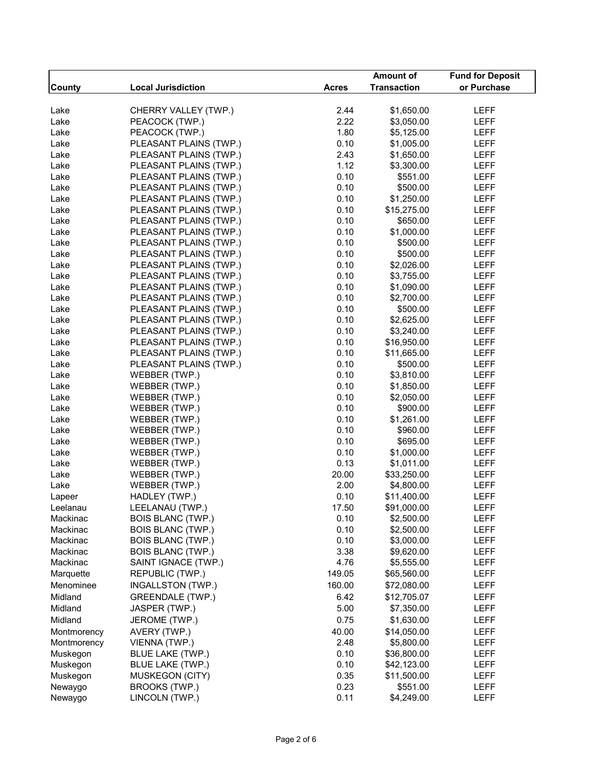|               |                           |              | <b>Amount of</b>   | <b>Fund for Deposit</b> |
|---------------|---------------------------|--------------|--------------------|-------------------------|
| <b>County</b> | <b>Local Jurisdiction</b> | <b>Acres</b> | <b>Transaction</b> | or Purchase             |
|               |                           |              |                    |                         |
| Lake          | CHERRY VALLEY (TWP.)      | 2.44         | \$1,650.00         | LEFF                    |
| Lake          | PEACOCK (TWP.)            | 2.22         | \$3,050.00         | LEFF                    |
| Lake          | PEACOCK (TWP.)            | 1.80         | \$5,125.00         | <b>LEFF</b>             |
| Lake          | PLEASANT PLAINS (TWP.)    | 0.10         | \$1,005.00         | <b>LEFF</b>             |
| Lake          | PLEASANT PLAINS (TWP.)    | 2.43         | \$1,650.00         | <b>LEFF</b>             |
| Lake          | PLEASANT PLAINS (TWP.)    | 1.12         | \$3,300.00         | <b>LEFF</b>             |
| Lake          | PLEASANT PLAINS (TWP.)    | 0.10         | \$551.00           | <b>LEFF</b>             |
| Lake          | PLEASANT PLAINS (TWP.)    | 0.10         | \$500.00           | <b>LEFF</b>             |
| Lake          | PLEASANT PLAINS (TWP.)    | 0.10         | \$1,250.00         | <b>LEFF</b>             |
| Lake          | PLEASANT PLAINS (TWP.)    | 0.10         | \$15,275.00        | <b>LEFF</b>             |
| Lake          | PLEASANT PLAINS (TWP.)    | 0.10         | \$650.00           | <b>LEFF</b>             |
| Lake          | PLEASANT PLAINS (TWP.)    | 0.10         | \$1,000.00         | <b>LEFF</b>             |
| Lake          | PLEASANT PLAINS (TWP.)    | 0.10         | \$500.00           | <b>LEFF</b>             |
| Lake          | PLEASANT PLAINS (TWP.)    | 0.10         | \$500.00           | <b>LEFF</b>             |
| Lake          | PLEASANT PLAINS (TWP.)    | 0.10         | \$2,026.00         | <b>LEFF</b>             |
| Lake          | PLEASANT PLAINS (TWP.)    | 0.10         | \$3,755.00         | <b>LEFF</b>             |
| Lake          | PLEASANT PLAINS (TWP.)    | 0.10         | \$1,090.00         | <b>LEFF</b>             |
| Lake          | PLEASANT PLAINS (TWP.)    | 0.10         | \$2,700.00         | <b>LEFF</b>             |
| Lake          | PLEASANT PLAINS (TWP.)    | 0.10         | \$500.00           | <b>LEFF</b>             |
| Lake          | PLEASANT PLAINS (TWP.)    | 0.10         | \$2,625.00         | <b>LEFF</b>             |
| Lake          | PLEASANT PLAINS (TWP.)    | 0.10         | \$3,240.00         | <b>LEFF</b>             |
| Lake          | PLEASANT PLAINS (TWP.)    | 0.10         | \$16,950.00        | <b>LEFF</b>             |
| Lake          | PLEASANT PLAINS (TWP.)    | 0.10         | \$11,665.00        | <b>LEFF</b>             |
| Lake          | PLEASANT PLAINS (TWP.)    | 0.10         | \$500.00           | <b>LEFF</b>             |
| Lake          | WEBBER (TWP.)             | 0.10         | \$3,810.00         | <b>LEFF</b>             |
| Lake          | WEBBER (TWP.)             | 0.10         | \$1,850.00         | <b>LEFF</b>             |
| Lake          | WEBBER (TWP.)             | 0.10         | \$2,050.00         | <b>LEFF</b>             |
| Lake          | WEBBER (TWP.)             | 0.10         | \$900.00           | <b>LEFF</b>             |
| Lake          | WEBBER (TWP.)             | 0.10         | \$1,261.00         | <b>LEFF</b>             |
| Lake          | WEBBER (TWP.)             | 0.10         | \$960.00           | <b>LEFF</b>             |
| Lake          | WEBBER (TWP.)             | 0.10         | \$695.00           | <b>LEFF</b>             |
| Lake          | WEBBER (TWP.)             | 0.10         | \$1,000.00         | <b>LEFF</b>             |
| Lake          | WEBBER (TWP.)             | 0.13         | \$1,011.00         | LEFF                    |
| Lake          | WEBBER (TWP.)             | 20.00        | \$33,250.00        | LEFF                    |
| Lake          | WEBBER (TWP.)             | 2.00         | \$4,800.00         | <b>LEFF</b>             |
| Lapeer        | HADLEY (TWP.)             | 0.10         | \$11,400.00        | <b>LEFF</b>             |
| Leelanau      | LEELANAU (TWP.)           | 17.50        | \$91,000.00        | LEFF                    |
| Mackinac      | <b>BOIS BLANC (TWP.)</b>  | 0.10         | \$2,500.00         | <b>LEFF</b>             |
| Mackinac      | <b>BOIS BLANC (TWP.)</b>  | 0.10         | \$2,500.00         | <b>LEFF</b>             |
| Mackinac      | <b>BOIS BLANC (TWP.)</b>  | 0.10         | \$3,000.00         | LEFF                    |
| Mackinac      | <b>BOIS BLANC (TWP.)</b>  | 3.38         | \$9,620.00         | <b>LEFF</b>             |
| Mackinac      | SAINT IGNACE (TWP.)       | 4.76         | \$5,555.00         | LEFF                    |
| Marquette     | REPUBLIC (TWP.)           | 149.05       | \$65,560.00        | LEFF                    |
| Menominee     | INGALLSTON (TWP.)         | 160.00       | \$72,080.00        | LEFF                    |
| Midland       | <b>GREENDALE (TWP.)</b>   | 6.42         | \$12,705.07        | <b>LEFF</b>             |
| Midland       | JASPER (TWP.)             | 5.00         | \$7,350.00         | LEFF                    |
| Midland       | JEROME (TWP.)             | 0.75         | \$1,630.00         | <b>LEFF</b>             |
|               |                           |              |                    |                         |
| Montmorency   | AVERY (TWP.)              | 40.00        | \$14,050.00        | LEFF                    |
| Montmorency   | VIENNA (TWP.)             | 2.48         | \$5,800.00         | LEFF                    |
| Muskegon      | BLUE LAKE (TWP.)          | 0.10         | \$36,800.00        | LEFF                    |
| Muskegon      | BLUE LAKE (TWP.)          | 0.10         | \$42,123.00        | <b>LEFF</b>             |
| Muskegon      | <b>MUSKEGON (CITY)</b>    | 0.35         | \$11,500.00        | LEFF                    |
| Newaygo       | BROOKS (TWP.)             | 0.23         | \$551.00           | <b>LEFF</b>             |
| Newaygo       | LINCOLN (TWP.)            | 0.11         | \$4,249.00         | <b>LEFF</b>             |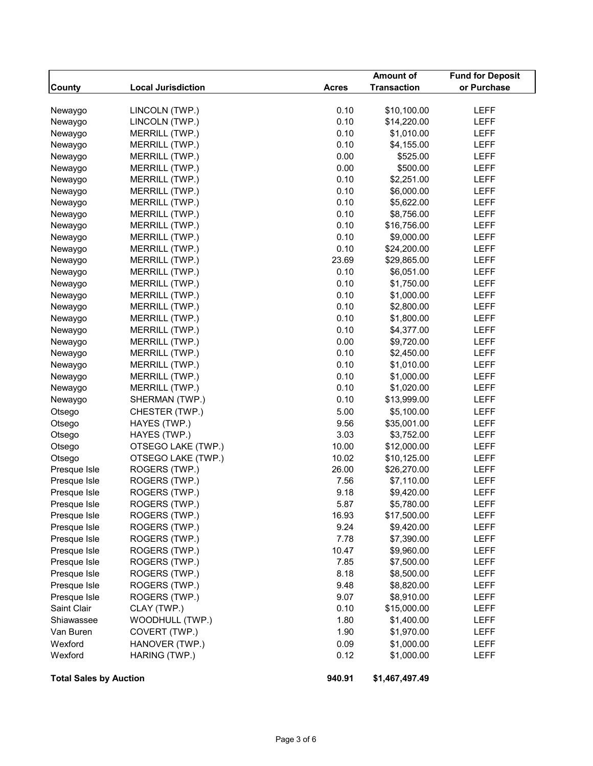|                               |                           |              | Amount of          | <b>Fund for Deposit</b> |
|-------------------------------|---------------------------|--------------|--------------------|-------------------------|
| <b>County</b>                 | <b>Local Jurisdiction</b> | <b>Acres</b> | <b>Transaction</b> | or Purchase             |
|                               |                           |              |                    |                         |
| Newaygo                       | LINCOLN (TWP.)            | 0.10         | \$10,100.00        | <b>LEFF</b>             |
| Newaygo                       | LINCOLN (TWP.)            | 0.10         | \$14,220.00        | <b>LEFF</b>             |
| Newaygo                       | MERRILL (TWP.)            | 0.10         | \$1,010.00         | LEFF                    |
| Newaygo                       | MERRILL (TWP.)            | 0.10         | \$4,155.00         | <b>LEFF</b>             |
| Newaygo                       | MERRILL (TWP.)            | 0.00         | \$525.00           | <b>LEFF</b>             |
| Newaygo                       | MERRILL (TWP.)            | 0.00         | \$500.00           | LEFF                    |
| Newaygo                       | MERRILL (TWP.)            | 0.10         | \$2,251.00         | <b>LEFF</b>             |
| Newaygo                       | MERRILL (TWP.)            | 0.10         | \$6,000.00         | <b>LEFF</b>             |
| Newaygo                       | MERRILL (TWP.)            | 0.10         | \$5,622.00         | <b>LEFF</b>             |
| Newaygo                       | MERRILL (TWP.)            | 0.10         | \$8,756.00         | <b>LEFF</b>             |
| Newaygo                       | MERRILL (TWP.)            | 0.10         | \$16,756.00        | <b>LEFF</b>             |
| Newaygo                       | MERRILL (TWP.)            | 0.10         | \$9,000.00         | <b>LEFF</b>             |
| Newaygo                       | MERRILL (TWP.)            | 0.10         | \$24,200.00        | <b>LEFF</b>             |
| Newaygo                       | MERRILL (TWP.)            | 23.69        | \$29,865.00        | <b>LEFF</b>             |
| Newaygo                       | MERRILL (TWP.)            | 0.10         | \$6,051.00         | <b>LEFF</b>             |
| Newaygo                       | MERRILL (TWP.)            | 0.10         | \$1,750.00         | <b>LEFF</b>             |
| Newaygo                       | MERRILL (TWP.)            | 0.10         | \$1,000.00         | <b>LEFF</b>             |
| Newaygo                       | MERRILL (TWP.)            | 0.10         | \$2,800.00         | <b>LEFF</b>             |
| Newaygo                       | MERRILL (TWP.)            | 0.10         | \$1,800.00         | LEFF                    |
| Newaygo                       | MERRILL (TWP.)            | 0.10         | \$4,377.00         | <b>LEFF</b>             |
| Newaygo                       | MERRILL (TWP.)            | 0.00         | \$9,720.00         | <b>LEFF</b>             |
| Newaygo                       | MERRILL (TWP.)            | 0.10         | \$2,450.00         | <b>LEFF</b>             |
| Newaygo                       | MERRILL (TWP.)            | 0.10         | \$1,010.00         | <b>LEFF</b>             |
| Newaygo                       | MERRILL (TWP.)            | 0.10         | \$1,000.00         | <b>LEFF</b>             |
| Newaygo                       | MERRILL (TWP.)            | 0.10         | \$1,020.00         | <b>LEFF</b>             |
| Newaygo                       | SHERMAN (TWP.)            | 0.10         | \$13,999.00        | <b>LEFF</b>             |
| Otsego                        | CHESTER (TWP.)            | 5.00         | \$5,100.00         | LEFF                    |
| Otsego                        | HAYES (TWP.)              | 9.56         | \$35,001.00        | <b>LEFF</b>             |
| Otsego                        | HAYES (TWP.)              | 3.03         | \$3,752.00         | <b>LEFF</b>             |
| Otsego                        | OTSEGO LAKE (TWP.)        | 10.00        | \$12,000.00        | <b>LEFF</b>             |
| Otsego                        | OTSEGO LAKE (TWP.)        | 10.02        | \$10,125.00        | <b>LEFF</b>             |
| Presque Isle                  | ROGERS (TWP.)             | 26.00        | \$26,270.00        | <b>LEFF</b>             |
| Presque Isle                  | ROGERS (TWP.)             | 7.56         | \$7,110.00         | <b>LEFF</b>             |
| Presque Isle                  | ROGERS (TWP.)             | 9.18         | \$9,420.00         | <b>LEFF</b>             |
| Presque Isle                  | ROGERS (TWP.)             | 5.87         | \$5,780.00         | LEFF                    |
| Presque Isle                  | ROGERS (TWP.)             | 16.93        | \$17,500.00        | LEFF                    |
| Presque Isle                  | ROGERS (TWP.)             | 9.24         | \$9,420.00         | LEFF                    |
| Presque Isle                  | ROGERS (TWP.)             | 7.78         | \$7,390.00         | LEFF                    |
| Presque Isle                  | ROGERS (TWP.)             | 10.47        | \$9,960.00         | LEFF                    |
| Presque Isle                  | ROGERS (TWP.)             | 7.85         | \$7,500.00         | LEFF                    |
| Presque Isle                  | ROGERS (TWP.)             | 8.18         | \$8,500.00         | LEFF                    |
| Presque Isle                  | ROGERS (TWP.)             | 9.48         | \$8,820.00         | LEFF                    |
| Presque Isle                  | ROGERS (TWP.)             | 9.07         | \$8,910.00         | LEFF                    |
| Saint Clair                   | CLAY (TWP.)               | 0.10         | \$15,000.00        | LEFF                    |
| Shiawassee                    | WOODHULL (TWP.)           | 1.80         | \$1,400.00         | LEFF                    |
| Van Buren                     | COVERT (TWP.)             | 1.90         | \$1,970.00         | LEFF                    |
| Wexford                       | HANOVER (TWP.)            | 0.09         | \$1,000.00         |                         |
| Wexford                       | HARING (TWP.)             | 0.12         | \$1,000.00         | LEFF                    |
|                               |                           |              |                    | LEFF                    |
| <b>Total Sales by Auction</b> |                           | 940.91       | \$1,467,497.49     |                         |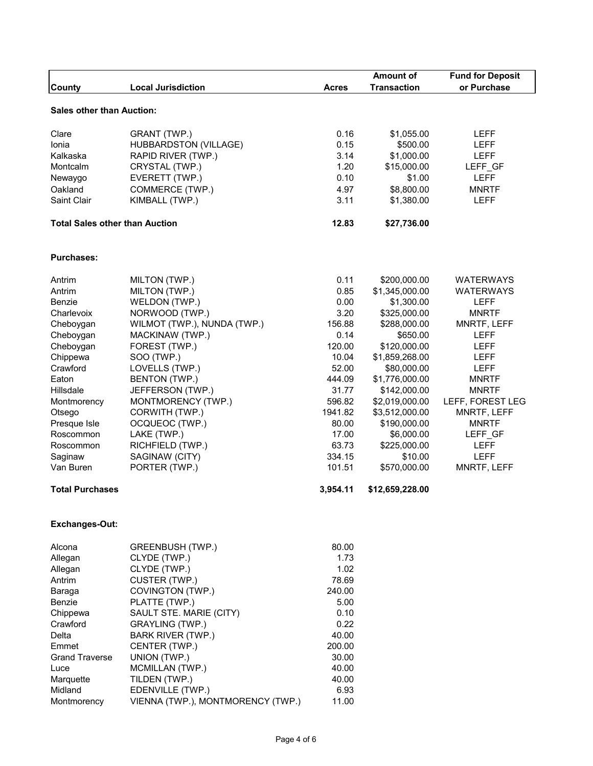|                                       | <b>Local Jurisdiction</b>         |              | <b>Amount of</b><br><b>Transaction</b> | <b>Fund for Deposit</b><br>or Purchase |
|---------------------------------------|-----------------------------------|--------------|----------------------------------------|----------------------------------------|
| County                                |                                   | <b>Acres</b> |                                        |                                        |
| <b>Sales other than Auction:</b>      |                                   |              |                                        |                                        |
| Clare                                 | GRANT (TWP.)                      | 0.16         | \$1,055.00                             | LEFF                                   |
| Ionia                                 | HUBBARDSTON (VILLAGE)             | 0.15         | \$500.00                               | LEFF                                   |
| Kalkaska                              | RAPID RIVER (TWP.)                | 3.14         | \$1,000.00                             | LEFF                                   |
| Montcalm                              | CRYSTAL (TWP.)                    | 1.20         | \$15,000.00                            | LEFF_GF                                |
| Newaygo                               | EVERETT (TWP.)                    | 0.10         | \$1.00                                 | <b>LEFF</b>                            |
| Oakland                               | COMMERCE (TWP.)                   | 4.97         | \$8,800.00                             | <b>MNRTF</b>                           |
| Saint Clair                           | KIMBALL (TWP.)                    | 3.11         | \$1,380.00                             | LEFF                                   |
| <b>Total Sales other than Auction</b> |                                   | 12.83        | \$27,736.00                            |                                        |
| <b>Purchases:</b>                     |                                   |              |                                        |                                        |
| Antrim                                | MILTON (TWP.)                     | 0.11         | \$200,000.00                           | <b>WATERWAYS</b>                       |
| Antrim                                | MILTON (TWP.)                     | 0.85         | \$1,345,000.00                         | <b>WATERWAYS</b>                       |
| Benzie                                | WELDON (TWP.)                     | 0.00         | \$1,300.00                             | LEFF                                   |
| Charlevoix                            | NORWOOD (TWP.)                    | 3.20         | \$325,000.00                           | <b>MNRTF</b>                           |
| Cheboygan                             | WILMOT (TWP.), NUNDA (TWP.)       | 156.88       | \$288,000.00                           | MNRTF, LEFF                            |
| Cheboygan                             | MACKINAW (TWP.)                   | 0.14         | \$650.00                               | LEFF                                   |
| Cheboygan                             | FOREST (TWP.)                     | 120.00       | \$120,000.00                           | LEFF                                   |
| Chippewa                              | SOO (TWP.)                        | 10.04        | \$1,859,268.00                         | LEFF                                   |
| Crawford                              | LOVELLS (TWP.)                    | 52.00        | \$80,000.00                            | LEFF                                   |
| Eaton                                 | <b>BENTON (TWP.)</b>              | 444.09       | \$1,776,000.00                         | <b>MNRTF</b>                           |
| Hillsdale                             | JEFFERSON (TWP.)                  | 31.77        | \$142,000.00                           | <b>MNRTF</b>                           |
| Montmorency                           | MONTMORENCY (TWP.)                | 596.82       | \$2,019,000.00                         | LEFF, FOREST LEG                       |
| Otsego                                | CORWITH (TWP.)                    | 1941.82      | \$3,512,000.00                         | MNRTF, LEFF                            |
| Presque Isle                          | OCQUEOC (TWP.)                    | 80.00        | \$190,000.00                           | <b>MNRTF</b>                           |
| Roscommon                             | LAKE (TWP.)                       | 17.00        | \$6,000.00                             | LEFF_GF                                |
| Roscommon                             | RICHFIELD (TWP.)                  | 63.73        | \$225,000.00                           | LEFF                                   |
| Saginaw                               | SAGINAW (CITY)                    | 334.15       | \$10.00                                | <b>LEFF</b>                            |
| Van Buren                             | PORTER (TWP.)                     | 101.51       | \$570,000.00                           | MNRTF, LEFF                            |
| <b>Total Purchases</b>                |                                   | 3,954.11     | \$12,659,228.00                        |                                        |
| Exchanges-Out:                        |                                   |              |                                        |                                        |
| Alcona                                | GREENBUSH (TWP.)                  | 80.00        |                                        |                                        |
| Allegan                               | CLYDE (TWP.)                      | 1.73         |                                        |                                        |
| Allegan                               | CLYDE (TWP.)                      | 1.02         |                                        |                                        |
| Antrim                                | CUSTER (TWP.)                     | 78.69        |                                        |                                        |
| Baraga                                | COVINGTON (TWP.)                  | 240.00       |                                        |                                        |
| Benzie                                | PLATTE (TWP.)                     | 5.00         |                                        |                                        |
| Chippewa                              | SAULT STE. MARIE (CITY)           | 0.10         |                                        |                                        |
| Crawford                              | GRAYLING (TWP.)                   | 0.22         |                                        |                                        |
| Delta                                 | <b>BARK RIVER (TWP.)</b>          | 40.00        |                                        |                                        |
| Emmet                                 | CENTER (TWP.)                     | 200.00       |                                        |                                        |
| <b>Grand Traverse</b>                 | UNION (TWP.)                      | 30.00        |                                        |                                        |
| Luce                                  | MCMILLAN (TWP.)                   | 40.00        |                                        |                                        |
| Marquette                             | TILDEN (TWP.)                     | 40.00        |                                        |                                        |
| Midland                               | EDENVILLE (TWP.)                  | 6.93         |                                        |                                        |
| Montmorency                           | VIENNA (TWP.), MONTMORENCY (TWP.) | 11.00        |                                        |                                        |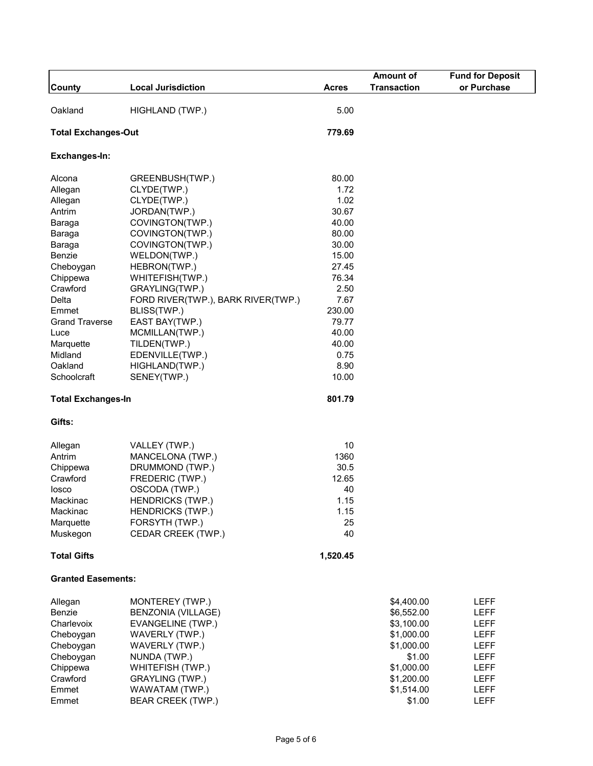|                            |                                    |                | <b>Amount of</b>   | <b>Fund for Deposit</b> |
|----------------------------|------------------------------------|----------------|--------------------|-------------------------|
| <b>County</b>              | <b>Local Jurisdiction</b>          | Acres          | <b>Transaction</b> | or Purchase             |
| Oakland                    | HIGHLAND (TWP.)                    | 5.00           |                    |                         |
|                            |                                    |                |                    |                         |
| <b>Total Exchanges-Out</b> |                                    | 779.69         |                    |                         |
| Exchanges-In:              |                                    |                |                    |                         |
| Alcona                     | GREENBUSH(TWP.)                    | 80.00          |                    |                         |
| Allegan                    | CLYDE(TWP.)                        | 1.72           |                    |                         |
| Allegan                    | CLYDE(TWP.)                        | 1.02           |                    |                         |
| Antrim                     | JORDAN(TWP.)                       | 30.67          |                    |                         |
| Baraga                     | COVINGTON(TWP.)                    | 40.00          |                    |                         |
| Baraga                     | COVINGTON(TWP.)                    | 80.00          |                    |                         |
| Baraga                     | COVINGTON(TWP.)                    | 30.00          |                    |                         |
| Benzie<br>Cheboygan        | WELDON(TWP.)<br>HEBRON(TWP.)       | 15.00<br>27.45 |                    |                         |
| Chippewa                   | WHITEFISH(TWP.)                    | 76.34          |                    |                         |
| Crawford                   | GRAYLING(TWP.)                     | 2.50           |                    |                         |
| Delta                      | FORD RIVER(TWP.), BARK RIVER(TWP.) | 7.67           |                    |                         |
| Emmet                      | BLISS(TWP.)                        | 230.00         |                    |                         |
| <b>Grand Traverse</b>      | EAST BAY(TWP.)                     | 79.77          |                    |                         |
| Luce                       | MCMILLAN(TWP.)                     | 40.00          |                    |                         |
| Marquette                  | TILDEN(TWP.)                       | 40.00          |                    |                         |
| Midland                    | EDENVILLE(TWP.)                    | 0.75           |                    |                         |
| Oakland                    | HIGHLAND(TWP.)                     | 8.90           |                    |                         |
| Schoolcraft                | SENEY(TWP.)                        | 10.00          |                    |                         |
| <b>Total Exchanges-In</b>  |                                    | 801.79         |                    |                         |
| Gifts:                     |                                    |                |                    |                         |
| Allegan                    | VALLEY (TWP.)                      | 10             |                    |                         |
| Antrim                     | MANCELONA (TWP.)                   | 1360           |                    |                         |
| Chippewa                   | DRUMMOND (TWP.)                    | 30.5           |                    |                         |
| Crawford                   | FREDERIC (TWP.)                    | 12.65          |                    |                         |
| losco                      | OSCODA (TWP.)                      | 40             |                    |                         |
| Mackinac                   | <b>HENDRICKS (TWP.)</b>            | 1.15           |                    |                         |
| Mackinac                   | <b>HENDRICKS (TWP.)</b>            | 1.15           |                    |                         |
| Marquette                  | FORSYTH (TWP.)                     | 25             |                    |                         |
| Muskegon                   | CEDAR CREEK (TWP.)                 | 40             |                    |                         |
| <b>Total Gifts</b>         |                                    | 1,520.45       |                    |                         |
| <b>Granted Easements:</b>  |                                    |                |                    |                         |
| Allegan                    | MONTEREY (TWP.)                    |                | \$4,400.00         | LEFF                    |
| Benzie                     | BENZONIA (VILLAGE)                 |                | \$6,552.00         | LEFF                    |
| Charlevoix                 | EVANGELINE (TWP.)                  |                | \$3,100.00         | LEFF                    |
| Cheboygan                  | WAVERLY (TWP.)                     |                | \$1,000.00         | <b>LEFF</b>             |
| Cheboygan                  | WAVERLY (TWP.)                     |                | \$1,000.00         | LEFF                    |
| Cheboygan                  | NUNDA (TWP.)                       |                | \$1.00             | LEFF                    |
| Chippewa                   | WHITEFISH (TWP.)                   |                | \$1,000.00         | LEFF                    |
| Crawford                   | <b>GRAYLING (TWP.)</b>             |                | \$1,200.00         | LEFF                    |
| Emmet                      | WAWATAM (TWP.)                     |                | \$1,514.00         | LEFF                    |
| Emmet                      | <b>BEAR CREEK (TWP.)</b>           |                | \$1.00             | LEFF                    |
|                            |                                    |                |                    |                         |